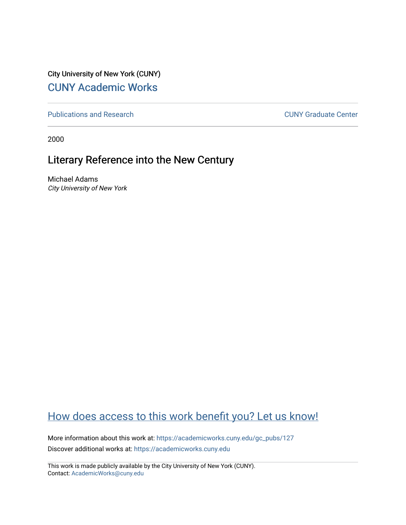City University of New York (CUNY) [CUNY Academic Works](https://academicworks.cuny.edu/) 

[Publications and Research](https://academicworks.cuny.edu/gc_pubs) [CUNY Graduate Center](https://academicworks.cuny.edu/gc) 

2000

# Literary Reference into the New Century

Michael Adams City University of New York

# [How does access to this work benefit you? Let us know!](http://ols.cuny.edu/academicworks/?ref=https://academicworks.cuny.edu/gc_pubs/127)

More information about this work at: [https://academicworks.cuny.edu/gc\\_pubs/127](https://academicworks.cuny.edu/gc_pubs/127) Discover additional works at: [https://academicworks.cuny.edu](https://academicworks.cuny.edu/?)

This work is made publicly available by the City University of New York (CUNY). Contact: [AcademicWorks@cuny.edu](mailto:AcademicWorks@cuny.edu)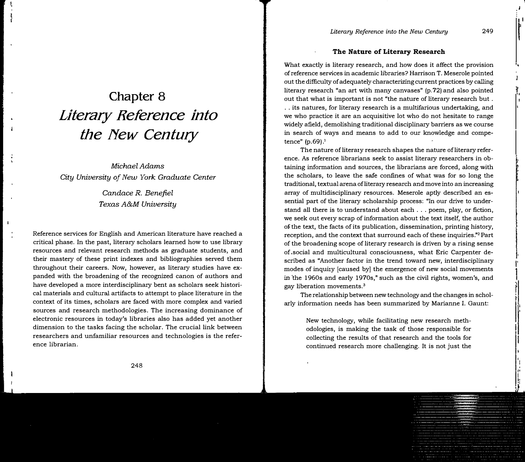# Chapter 8 Literary Reference into the New Century

I,

Michael Adams City University of New York Graduate Center

> Candace R. Benefiel Texas A&M University

Reference services for English and American literature have reached a critical phase. In the past, literary scholars learned how to use library resources and relevant research methods as graduate students, and their mastery of these print indexes and bibliographies served them throughout their careers. Now, however, as literary studies have expanded with the broadening of the recognized canon of authors and have developed a more interdisciplinary bent as scholars seek historical materials and cultural artifacts to attempt to place literature in the context of its times, scholars are faced with more complex and varied sources and research methodologies. The increasing dominance of electronic resources in today's libraries also has added yet another dimension to the tasks facing the scholar. The crucial link between researchers and unfamiliar resources and technologies is the reference librarian.

What exactly is literary research, and how does it affect the provision of reference services in academic libraries? Harrison T. Meserole pointed out the difficulty of adequately characterizing current practices by calling literary research "an art with many canvases" (p. 72) and also pointed out that what is important is not "the nature of literary research but . . . its natures, for literary research is a multifarious undertaking, and we who practice it are an acquisitive lot who do not hesitate to range widely afield, demolishing traditional disciplinary barriers as we course in search of ways and means to add to our knowledge and competence" (p.69).'

The nature of literary research shapes the nature of literary reference. As reference librarians seek to assist literary researchers in obtaining information and sources, the librarians are forced, along with the scholars, to leave the safe confines of what was for so long the traditional, textual arena of literary research and move into an increasing array of multidisciplinary resources. Meserole aptly described an essential part of the literary scholarship process: "In our drive to understand all there is to understand about each ... poem, play, or fiction, we seek out every scrap of information about the text itself, the author of. the text, the facts of its publication, dissemination, printing history, reception, and the context that surround each of these inquiries."<sup>2</sup> Part of the broadening scope of literary research is driven by a rising sense of.social and multicultural consciousness, what Eric Carpenter described as "Another factor in the trend toward new, interdisciplinary modes of inquiry [caused by] the emergence of new social movements in "the 1960s and early 1970s," such as the civil rights, women's, and gay liberation movements. 3

The relationship between new technology and the changes in scholarly information needs has been summarized by Marianne I. Gaunt:

> New technology, while facilitating new research methodologies, is making the task of those responsible for collecting the results of that research and the tools for continued research more challenging. It is not just the

i,

I' |<br>|<br>|

rent in 1999.<br>Berne

�

' I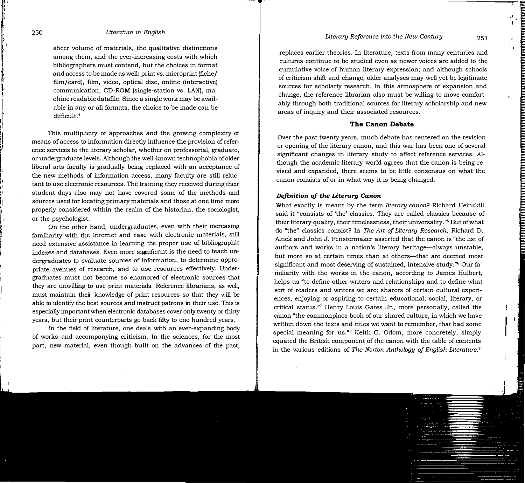# 250 Literature in English

sheer volume of materials, the qualitative distinctions among them, and the ever-increasing costs with which bibliographers must contend, but the choices in format and access to be made as well: print vs. microprint (fiche/ film/card), film, video, optical disc, online (interactive) communication, CD-ROM (single-station vs. LAN), machine readable datafile. Since a single work may be available in any or all formats, the choice to be made can be difficult.•

This multiplicity of approaches and the growing complexity of means of access to information directly influence the provision of reference services to the literary scholar, whether on professorial, graduate, or undergraduate levels. Although the well-known technophobia of older liberal arts faculty is gradually being replaced with an acceptance' of the new methods of information access, many faculty are still reluctant to use electronic resources. The training they received during their student days also may not have covered some of the methods and sources used for locating primary materials and those at one time more properly considered within the realm of the historian, the sociologist, or the psychologist.

On the other hand, undergraduates, even with their increasing familiarity with the Internet and ease with electronic materials, still need extensive assistance in learning the proper use of bibliographic indexes and databases. Even more significant is the need to teach undergraduates to evaluate sources of information, to determine appropriate avenues of research, and to use resources effectively. Under-<br>graduates must not become so enamored of electronic sources that graduates must not become so enamored of electronic sources that<br>they are unwilling to use print materials. Reference librarians, as well, . must maintain their knowledge of print resources so that they will be able to identify the best sources and instruct patrons in their use. This is especially important when electronic databases cover only twenty or thirty years, but their print counterparts go back fifty to one hundred years.

In the field of literature, one deals with an ever-expanding body of works and accompanying criticism. In the sciences, for the most part, new material, even though built on the advances of the past,

replaces earlier theories. In literature, texts from many centuries and cultures continue to be studied even as newer voices are added to the cumulative voice of human literary expression; and although schools of criticism shift and change, older analyses may well yet be legitimate sources for scholarly research. In this atmosphere of expansion and change, the reference librarian also must be willing to move comfortably through both traditional sources for literary scholarship and new areas of inquiry and their associated resources.

# The Canon Debate

Over the past twenty years, much debate has centered on the revision or opening of the literary canon, and this war has been one of several significant changes in literary study to affect reference services. Although the academic literary world agrees that the canon is being revised and expanded, there seems to be little consensus on what the canon consists of or in what way it is being changed.

#### Definition of the Literary Canon

What exactly is meant by the term literary canon? Richard Heinzkill said it "consists of 'the' classics. They are called classics because of their literary quality, their timelessness, their universality."<sup>5</sup> But of what do "the" classics consist? In The Art of Literary Research, Richard D. Altick and John J. Fenstermaker asserted that the canon is "the list of authors and works in a nation's literary heritage-always unstable, but more so at certain times than at others-that are deemed most significant and most deserving of sustained, intensive study."6 Our familiarity with the works in the canon, according to James Hulbert, helps us "to define other writers and relationships and to define what sort of readers and writers we are: sharers of certain cultural experiences, enjoying or aspiring to certain educational, social, literary, or critical status."' Henry Louis Gates Jr., more personally, called the canon "the commonplace book of our shared culture, in which we have written down the texts and titles we want to remember, that had some special meaning for us."<sup>8</sup> Keith C. Odom, more concretely, simply equated the British component of the canon with the table of contents in the various editions of The Norton Anthology of English Literature.<sup>9</sup>

' , '

!

I I

II. l

I II I ,, ,, "F

il

 $\frac{1}{2}$ 

·'

,,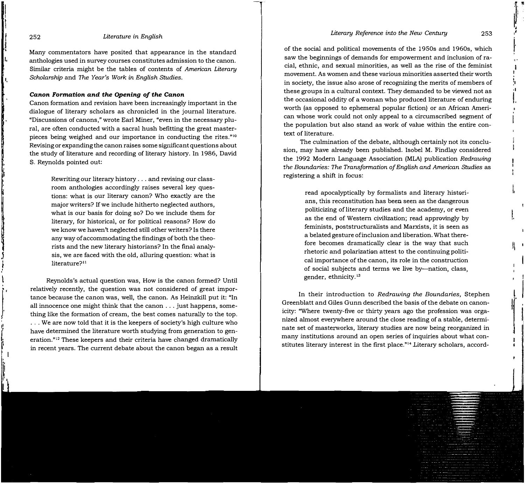#### 252 Literature in English

Many commentators have posited that appearance in the standard anthologies used in survey courses constitutes admission to the canon. Similar criteria might be the tables of contents of American Literary Scholarship and The Year's Work in English Studies.

#### Canon Formation and the Opening of the Canon

Canon formation and revision have been increasingly important in the dialogue of literary scholars as chronicled in the journal literature. "Discussions of canons," wrote Earl Miner, "even in the necessary plural, are often conducted with a sacral hush befitting the great masterpieces being weighed and our importance in conducting the rites."'0 Revising or expanding the canon raises some significant questions about the study of literature and recording of literary history. In 1986, David S. Reynolds pointed out:

> Rewriting our literary history ... and revising our classroom anthologies accordingly raises several key questions: what is our literary canon? Who exactly are the major writers? If we include hitherto neglected authors, what is our basis for doing so? Do we include them for literary, for historical, or for political reasons? How do we know we haven't neglected still other writers? Is there any way of accommodating the findings of both the theorists and the new literary historians? In the final analysis, we are faced with the old, alluring question: what is literature?<sup>11</sup>

Reynolds's actual question was, How is the canon formed? Until relatively recently, the question was not considered of great importance because the canon was, well, the canon. As Heinzkill put it: "In all innocence one might think that the canon ... just happens, something like the formation of cream, the best comes naturally to the top. ... We are now told that it is the keepers of society's high culture who have determined the literature worth studying from generation to generation."<sup>12</sup> These keepers and their criteria have changed dramatically in recent years. The current debate about the canon began as a result

of the social and political movements of the 1950s and 1960s, which saw the beginnings of demands for empowerment and inclusion of racial, ethnic, and sexual minorities, as well as the rise of the feminist movement. As women and these various minorities asserted their worth in society, the issue also arose of recognizing the merits of members of these groups in a cultural context. They demanded to be viewed not as the occasional oddity of a woman who produced literature of enduring worth (as opposed to ephemeral popular fiction) or an African American whose work could not only appeal to a circumscribed segment of the population but also stand as work of value within the entire context of literature.

The culmination of the debate, although certainly not its conclusion, may have already been published. Isabel M. Findlay considered the 1992 Modem Language Association (MLA) publication Redrawing the Boundanes: The Transformation of English and American Studies as registering a shift in focus:

read apocalyptically by formalists and literary historians, this reconstitution has been seen as the dangerous politicizing of literary studies and the academy, or even as the end of Western civilization; read approvingly by feminists, poststructuralists and Marxists, it is seen as a belated gesture of inclusion and liberation. What therefore becomes dramatically clear is the way that such rhetoric and polarization attest to the continuing political importance of the canon, its role in the construction of social subjects and terms we live by-nation, class, gender, ethnicity.13

In their introduction to Redrawing the Boundaries, Stephen Greenblatt and Giles Gunn described the basis of the debate on canonicity: ''Where twenty-five or thirty years ago the profession was organized almost everywhere around the close reading of a stable, determinate set of masterworks, literary studies are now being reorganized in many institutions around an open series of inquiries about what constitutes literary interest in the first place."<sup>14</sup> Literary scholars, accord-

I,

'·

 $\mathbf{\mathbf{y}}$ ' I

re a company of the company of the company of the company of the company of the company of the company of the company of the company of the company of the company of the company of the company of the company of the company

"' I I !· . I.

!<br>!<br>.

I.

'I

I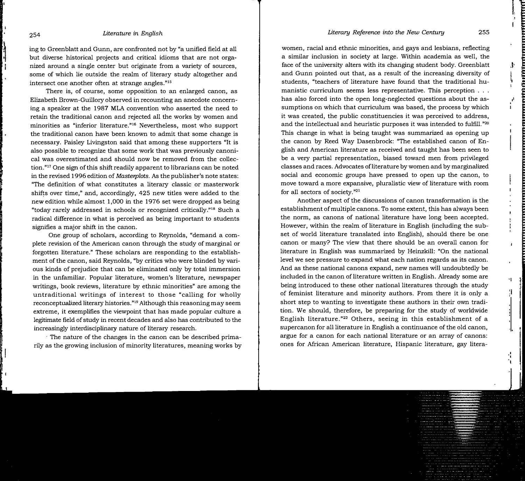# 254 Literature in English

ing to Greenblatt and Gunn, are confronted not by "a unified field at all but diverse historical projects and critical idioms that are not organized around a single center but originate from a variety of sources, some of which lie outside the realm of literary study altogether and intersect one another often at strange angles."<sup>15</sup>

There is, of course, some opposition to an enlarged canon, as Elizabeth Brown-Guillory observed in recounting an anecdote concerning a speaker at the 1987 MLA convention who asserted the need to retain the traditional canon and rejected all the works by women and minorities as "inferior literature."16 Nevertheless, most who support the traditional canon have been known to admit that some change is necessary. Paisley Livingston said that among these supporters "It is also possible to recognize that some work that was previously canonical was overestimated and should now be removed from the collection."17 One sign of this shift readily apparent to librarians can be noted in the revised 1996 edition of Masterplots. As the publisher's note states: "The definition of what constitutes a literary classic or masterwork shifts over time," and, accordingly, 425 new titles were added to the new edition while almost 1,000 in the 1976 set were dropped as being "today rarely addressed in schools or recognized critically ."18 Such a radical difference in what is perceived as being important to students signifies a major shift in the canon.

One group of scholars, according to Reynolds, "demand a complete revision of the American canon through the study of marginal or forgotten literature." These scholars are responding to the establishment of the canon, said Reynolds, "by critics who were blinded by various kinds of prejudice that can be eliminated only by total immersion in the unfamiliar. Popular literature, women's literature, newspaper writings, book reviews, literature by ethnic minorities" are among the untraditional writings of interest to those "calling for wholly reconceptualized literary histories."19 Although this reasoning may seem extreme, it exemplifies the viewpoint that has made popular culture a legitimate field of study in recent decades and also has contributed to the increasingly interdisciplinary nature of literary research.

· The nature of the changes in the canon can be described primarily as the growing inclusion of minority literatures, meaning works by

women, racial and ethnic minorities, and gays and lesbians, reflecting a similar inclusion in society at large. Within academia as well, the face of the university alters with its changing student body. Greenblatt and Gunn pointed out that, as a result of the increasing diversity of students, "teachers of literature have found that the traditional humanistic curriculum seems less representative. This perception . . . has also forced into the open long-neglected questions about the assumptions on which that curriculum was based, the process by which it was created, the public constituencies it was perceived to address, and the intellectual and heuristic purposes it was intended to fulfill."<sup>20</sup> This change in what is being taught was summarized as opening up the canon by Reed Way Dasenbrock: "The established canon of English and American literature as received and taught has been seen to be a very partial representation, biased toward men from privileged classes and races. Advocates of literature by women and by marginalized social and economic groups have pressed to open up the canon, to move toward a more expansive, pluralistic view of literature with room for all sectors of society."21

Another aspect of the discussions of canon transformation is the establishment of multiple canons. To some extent, this has always been the norm, as canons of national literature have long been accepted. However, within the realm of literature in English (including the subset of world literature translated into English), should there be one canon or many? The view that there should be an overall canon for literature in English was summarized by Heinzkill: "On the national level we see pressure to expand what each nation regards as its canon. And as these national canons expand, new names will undoubtedly be included in the canon of literature written in English. Already some are being introduced to these other national literatures through the study of feminist literature and minority authors. From there it is only a short step to wanting to investigate these authors in their own tradition. We should, therefore, be preparing for the study of worldwide English literature."<sup>22</sup> Others, seeing in this establishment of a supercanon for all literature in English a continuance of the old canon, argue for a canon for each national literature or an array of canons: ones for African American literature, Hispanic literature, gay litera-

.<br>درچينې

Ŧ

•'

Ĵ.

'I

"•

·: 'I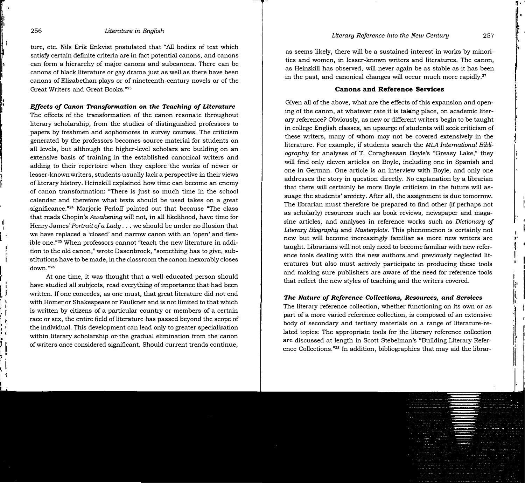ture, etc. Nils Erik Enkvist postulated that "All bodies of text which satisfy certain definite criteria are in fact potential canons, and canons can form a hierarchy of major canons and subcanons. There can be canons of black literature or gay drama just as well as there have been canons of Elizabethan plays or of nineteenth-century novels or of the Great Writers and Great Books."23

## Effects of Canon Transformation on the Teaching of Literature

The effects of the transformation of the canon resonate throughout literary scholarship, from the studies of distinguished professors to papers by freshmen and sophomores in survey courses. The criticism generated by the professors becomes source material for students on all levels, but although the higher-level scholars are building on an extensive basis of training in the established canonical writers and adding to their repertoire when they explore the works of newer or lesser-known writers, students usually lack a perspective in their views of literary history. Heinzkill explained how time can become an enemy of canon transformation: "There is just so much time in the school calendar and therefore what texts should be used takes on a great significance."<sup>24</sup> Marjorie Perloff pointed out that because "The class that reads Chopin's Awakening will not, in all likelihood, have time for Henry James' Portrait of a Lady ... we should be under no illusion that we have replaced a 'closed' and narrow canon with an 'open' and flexible one."25 When professors cannot "teach the new literature in addition to the old canon," wrote Dasenbrock, "something has to give, substitutions have to be made, in the classroom the canon inexorably closes down."26

At one time, it was thought that a well-educated person should have studied all subjects, read everything of importance that had been written. If one concedes, as one must, that great literature did not end with Homer or Shakespeare or Faulkner and is not limited to that which is written by citizens of a particular country or members of a certain race or sex, the entire field of literature has passed beyond the scope of the individual. This development can lead only to greater specialization within literary scholarship or· the gradual elimination from the canon of writers once considered significant. Should current trends continue,

as seems likely, there will be a sustained interest in works by minorities and women, in lesser-known writers and literatures. The canon, as Heinzkill has observed, will never again be as stable as it has been in the past, and canonical changes will occur much more rapidly.<sup>27</sup>

# Canons and Reference Services

Given all of the above, what are the effects of this expansion and opening of the canon, at whatever rate it is taking place, on academic literary reference? Obviously, as new or different writers begin to be taught in college English classes, an upsurge of students will seek criticism of these writers, many of whom may not be covered extensively in the literature. For example, if students search the MLA International Bibliography for analyses of T. Coraghessan Boyle's "Greasy Lake," they will find only eleven articles on Boyle, including one in Spanish and one in German. One article is an interview with Boyle, and only one addresses the story in question directly. No explanation by a librarian that there will certainly be more Boyle criticism in the future will assuage the students' anxiety. After all, the assignment is due tomorrow. The librarian must therefore be prepared to find other (if perhaps not as scholarly) resources such as book reviews, newspaper and magazine articles, and analyses in reference works such as Dictionary of Literary Biography and Masterplots. This phenomenon is certainly not new but will become increasingly familiar as more new writers are taught. Librarians will not only need to become familiar with new reference tools dealing with the new authors and previously neglected literatures but also must actively participate in producing these tools and making sure publishers are aware of the need for reference tools that reflect the new styles of teaching and the writers covered.

## The Nature of Reference Collections, Resources, and Services

The literary reference collection, whether functioning on its own or as part of a more varied reference collection, is composed of an extensive body of secondary and tertiary materials on a range of literature-related topics: The appropriate tools for the literary reference collection are discussed at length in Scott Stebelman's "Building Literary Reference Collections."28 In addition, bibliographies that may aid the librar-

I I

**bishine** 

�·

1 f

l I

> $\frac{5}{8}$  $\ddot{x}$

 $\big\}$  $\mathbf{I}$ 

 $\frac{3}{2}$ 

I • |<br>|<br>| l

I I" ! I

I | : · I!· į, I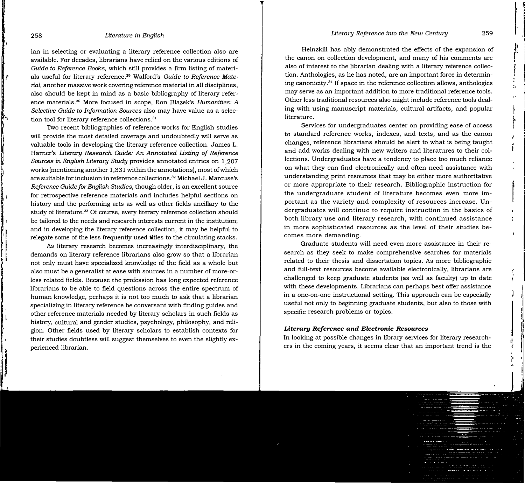#### 258 Litemture in English

ian in selecting or evaluating a literary reference collection also are available. For decades, librarians have relied on the various editions of Guide to Reference Books, which still provides a firm listing of materials useful for literary reference.<sup>29</sup> Walford's Guide to Reference Material, another massive work covering reference material in all disciplines, also should be kept in mind as a basic bibliography of literary reference materials.30 More focused in scope, Ron Blazek's Humanities: A Selective Guide to Information Sources also may have value as a selection tool for literary reference collections. 31

Two recent bibliographies of reference works for English studies will provide the most detailed coverage and undoubtedly will serve as valuable tools in developing the literary reference collection. James L. Harner's Literary Research Guide: An Annotated Listing of Reference Sources in English Literary Study provides annotated entries on 1,207 works (mentioning another 1,331 within the annotations), most of which are suitable for inclusion in reference collections.<sup>32</sup> Michael J. Marcuse's Reference Guide for English Studies, though older, is an excellent source for retrospective reference materials and includes helpful sections on history and the performing arts as well as other fields ancillary to the study of literature.<sup>33</sup> Of course, every literary reference collection should be tailored to the needs and research interests current in the institution; and in developing the literary reference collection, it may be helpful to relegate some of the less frequently used titles to the circulating stacks.

As literary research becomes increasingly interdisciplinary, the demands on literary reference librarians also grow so that a librarian not only must have specialized knowledge of the field as a whole but also must be a generalist at ease with sources in a number of more-orless related fields. Because the profession has long expected reference librarians to be able to field questions across the entire spectrum of human knowledge, perhaps it is not too much to ask that a librarian specializing in literary reference be conversant with fmding guides and other reference materials needed by literary scholars in such fields as history, cultural and gender studies, psychology, philosophy, and religion. Other fields used by literary scholars to establish contexts for their studies doubtless will suggest themselves to even the slightly experienced librarian.

Heinzkill has ably demonstrated the effects of the expansion of the canon on collection development, and many of his comments are also of interest to the librarian dealing with a literary reference collection. Anthologies, as he has noted, are an important force in determining canonicity.34 If space in the reference collection allows, anthologies may serve as an important addition to more traditional reference tools. Other less traditional resources also might include reference tools dealing with using manuscript materials, cultural artifacts, and popular literature.

Services for undergraduates center on providing ease of access to standard reference works, indexes, and texts; and as the canon changes, reference librarians should be alert to what is being taught and add works dealing with new writers and literatures to their collections. Undergraduates have a tendency to place too much reliance on what they can find electronically and often need assistance with understanding print resources that may be either more authoritative or more appropriate to their research. Bibliographic instruction for the undergraduate student of literature becomes even more important as the variety and complexity of resources increase. Undergraduates will continue to require instruction in the basics of both library use and literary research, with continued assistance in more sophisticated resources as the level of their studies becomes more demanding.

Graduate students will need even more assistance in their research as they seek to make comprehensive searches for materials related to their thesis and dissertation topics. As more bibliographic and full-text resources become available electronically, librarians are challenged to keep graduate students (as well as faculty) up to date with these developments. Librarians can perhaps best offer assistance in a one-on-one instructional setting. This approach can be especially useful not only to beginning graduate students, but also to those with specific research problems or topics.

## Literary Reference and Electronic Resources

In looking at possible changes in library services for literary researchers in the coming years, it seems clear that an important trend is the

!'

ł.

;)

in Francesco<br>Comparable ..

I ائر I

 $\mathbf{I}$ 

I �I 1: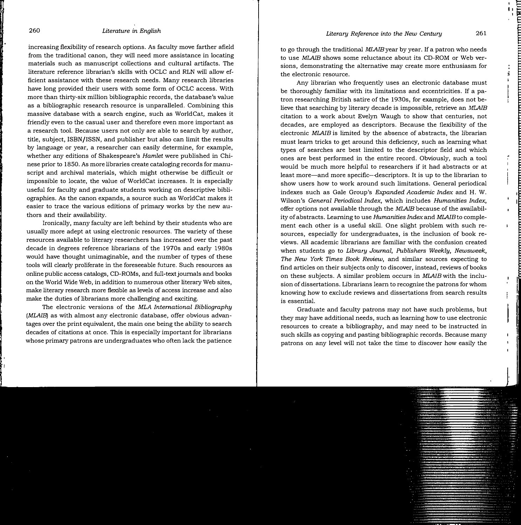increasing flexibility of research options. As faculty move farther afield from the traditional canon, they will need more assistance in locating materials such as manuscript collections and cultural artifacts. The literature reference librarian's skills with OCLC and RLN will allow efficient assistance with these research needs. Many research libraries have long provided their users with some form of OCLC access. With more than thirty-six million bibliographic records, the database's value as a bibliographic research resource is unparalleled. Combining this massive database with a search engine, such as WorldCat, makes it friendly even to the casual user and therefore even more important as a research tool. Because users not only are able to search by author, title, subject, ISBN/ISSN, and publisher but also can limit the results by language or year, a researcher can easily determine, for example, whether any editions of Shakespeare's Hamlet were published in Chinese prior to 1850. As more libraries create cataloging records for manuscript and archival materials, which might otherwise be difficult or impossible to locate, the value of World Cat increases. It is especially useful for faculty and graduate students working on descriptive bibliographies. As the canon expands, a source such as World Cat makes it easier to trace the various editions of primary works by the new authors and their availability.

Ironically, many faculty are left behind by their students who are usually more adept at using electronic resources. The variety of these resources available to literary researchers has increased over the past decade in degrees reference librarians of the 1970s and early 1980s would have thought unimaginable, and the number of types of these tools will clearly proliferate in the foreseeable future. Such resources as online public access catalogs, CD-ROMs, and full-text journals and books on the World Wide Web, in addition to numerous other literary Web sites, make literary research more flexible as levels of access increase and also make the duties of librarians more challenging and exciting.

The electronic versions of the MLA International Bibliography (MLAIB) as with almost any electronic database, offer obvious advantages over the print equivalent, the main one being the ability to search decades of citations at once. This is especially important for librarians whose primary patrons are undergraduates who often lack the patience to go through the traditional MLAIByear by year. If a patron who needs to use MLAIB shows some reluctance about its CD-ROM or Web versions, demonstrating the alternative may create more enthusiasm for the electronic resource.

Any librarian who frequently uses an electronic database must be thoroughly familiar with its limitations and eccentricities. If a patron researching British satire of the 1930s, for example, does not believe that searching by literary decade is impossible, retrieve an MLAIB citation to a work about Evelyn Waugh to show that centuries, not decades, are employed as descriptors. Because the flexibility of the electronic MLAIB is limited by the absence of abstracts, the librarian must learn tricks to get around this deficiency, such as learning what types of searches are best limited to the descriptor field and which ones are best performed in the entire record. Obviously, such a tool would be much more helpful to researchers if it had abstracts or at least more—and more specific—descriptors. It is up to the librarian to show users how to work around such limitations. General periodical indexes such as Gale Group's Expanded Academic Index and H. W. Wilson's General Periodical Index, which includes Humanities Index, offer options not available through the MLAIB because of the availability of abstracts. Learning to use Humanities Index and MLAIB to complement each other is a useful skill. One slight problem with such resources, especially for undergraduates, is the inclusion of book reviews. All academic librarians are familiar with the confusion created when students go to Library Journal, Publishers Weekly, Newsweek, The New York Times Book Review, and similar sources expecting to find articles on their subjects only to discover, instead, reviews of books on these subjects. A similar problem occurs in MLAIB with the inclusion of dissertations. Librarians learn to recognize the patrons for whom knowing how to exclude reviews and dissertations from search results is essential.

Graduate and faculty patrons may not have such problems, but they may have additional needs, such as learning how to use electronic resources to create a bibliography, and may need to be instructed in such skills as copying and pasting bibliographic records. Because many patrons on any level will not take the time to discover how easily the

,. '

ś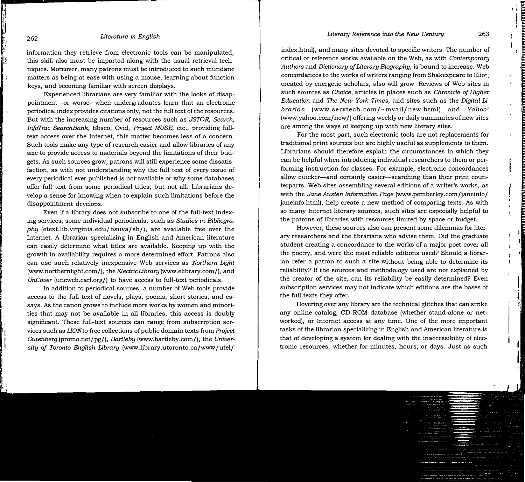# 262 Literature in English

information they retrieve from electronic tools can be manipulated, this skill also must be imparted along with the usual retrieval techniques. Moreover, many patrons must be introduced to such mundane matters as being at ease with using a mouse, learning about function keys, and becoming familiar with screen displays.

Experienced librarians are very familiar with the looks of disappointment-or worse-when undergraduates Jearn that an electronic periodical index provides citations only, not the full text of the resources. But with the increasing number of resources such as JSTOR, Search, InfoTrac SearchBank, Ebsco, Ovid, Project MUSE, etc., providing fulltext access over the Internet, this matter becomes less of a concern. Such tools make any type of research easier and allow libraries of any size to provide access to materials beyond the limitations of their budgets. As such sources grow, patrons will still experience some dissatisfaction, as with not understanding why the full text of every issue of every periodical ever published is not available or why some databases offer full text from some periodical titles, but not all. Librarians develop a sense for knowing when to explain such limitations before the disappointment develops.

Even if a library does not subscribe to one of the full-text indexing services, some individual periodicals, such as Studies in Bibliogra $phy$  (etext.lib.virginia.edu/bsuva/sb/), are available free over the Internet. A librarian specializing in English and American literature can easily determine what titles are available. Keeping up with the growth in availability requires a more determined effort. Patrons also can use such relatively inexpensive Web services as Northern Light (www.northernlight.com/), the Electric Library (www.elibrary.com/), and UnCover (uncweb.carl.org/) to have access to full-text periodicals.

In addition to periodical sources, a number of Web tools provide access to the full text of novels, plays, poems, short stories, and essays. As the canon grows to include more works by women and minorities that may not be available in all libraries, this access is doubly significant. These full-text sources can range from subscription services such as UON to free collections of public domain texts from Project Gutenberg (promo.net/pg/), Bartleby (www.bartleby.com/), the University of Toronto English Library (www.library.utoronto.ca/www/utel/

index.html), and many sites devoted to specific writers. The number of critical or reference works available on the Web, as with Contemporary Authors and Dictionary of Literary Biography, is bound to increase. Web concordances to the works of writers ranging from Shakespeare to Eliot, created by energetic scholars, also will grow. Reviews of Web sites in such sources as Choice, articles in places such as Chronicle of Higher Education and The New York Times, and sites such as the Digital Librarian (www.servtech.com/~mvail/new.html) and Yahoo! (www.yahoo.com/ new/) offering weekly or daily summaries of new sites are among the ways of keeping up with new literary sites.

For the most part, such electronic tools are not replacements for traditional print sources but are highly useful as supplements to them. Librarians should therefore explain the circumstances in which they can be helpful when introducing individual researchers to them or performing instruction for classes. For example, electronic concordances allow quicker-and certainly easier-searching than their print counterparts. Web sites assembling several editions of a writer's works, as with the Jane Austen Information Page (www.pemberley.com/janeinfo/ janeinfo.html), help create a new method of comparing texts. As with so many Internet literary sources, such sites are especially helpful to the patrons of libraries with resources limited by space or budget.

However, these sources also can present some dilemmas for literary researchers and the librarians who advise them. Did the graduate student creating a concordance to the works of a major poet cover all the poetry, and were the most reliable editions used? Should a librarian refer a patron to such a site without being able to determine its reliability? If the sources and methodology used are not explained by the creator of the site, can its reliability be easily determined? Even subscription services may not indicate which editions are the bases of the full texts they offer.

Hovering over any library are the technical glitches that can strike any online catalog, CD-ROM database (whether stand-alone or networked), or Internet access at any time. One of the more important tasks of the librarian specializing in English and American literature is that of developing a system for dealing with the inaccessibility of electronic resources, whether for minutes, hours, or days. Just as such

۱.

iŀ.  $\mathbf{1}$ I ł.

I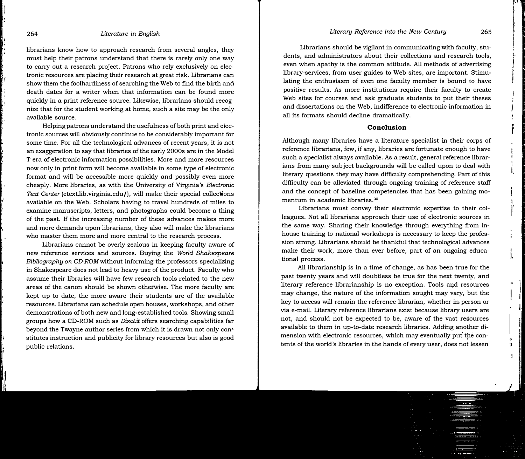### 264 Literature in English

librarians know how to approach research from several angles, they must help their patrons understand that there is rarely only one way to carry out a research project. Patrons who rely exclusively on electronic resources are placing their research at great risk. Librarians can show them the foolhardiness of searching the Web to find the birth and death dates for a writer when that information can be found more quickly in a print reference source. Likewise, librarians should recognize that for the student working at home, such a site may be the only available source.

Helping patrons understand the usefulness of both print and electronic sources will obviously continue to be considerably important for some time. For all the technological advances of recent years, it is not an exaggeration to say that libraries of the early 2000s are in the Model T era of electronic information possibilities. More and more resources now only in print form will become available in some type of electronic format and will be accessible more quickly and possibly even more cheaply. More libraries, as with the University of Virginia's Electronic Text Center (etext.lib.virginia.edu/), will make their special collections available on the Web. Scholars having to travel hundreds of miles to examine manuscripts, letters, and photographs could become a thing of the past. If the increasing number of these advances makes more and more demands upon librarians, they also will make the librarians who master them more and more central to the research process.

Librarians cannot be overly zealous in keeping faculty aware of new reference services and sources. Buying the World Shakespeare Bibliography on CD-ROM without informing the professors specializing in Shakespeare does not lead to heavy use of the product. Faculty who assume their libraries will have few research tools related to the new areas of the canon should be shown otherwise. The more faculty are kept up to date, the more aware their students are of the available resources. Librarians can schedule open houses, workshops, and other demonstrations of both new and long-established tools. Showing small groups how a CD-ROM such as DiscLit offers searching capabilities far beyond the Twayne author series from which it is drawn not only con' stitutes instruction and publicity for library resources but also is good public relations.

Librarians should be vigilant in communicating with faculty, students, and administrators about their collections and research tools even when apathy is the common attitude. All methods of advertising library· services, from user guides to Web sites, are important. Stimulating the enthusiasm of even one faculty member is bound to have positive results. As more institutions require their faculty to create Web sites for courses and ask graduate students to put their theses and dissertations on the Web, indifference to electronic information in all its formats should decline dramatically.

# Conclusion

Although many libraries have a literature specialist in their corps of reference librarians, few, if any, libraries are fortunate enough to have such a specialist always available. As a result, general reference librarians from many subject backgrounds will be called upon to deal with literary questions they may have difficulty comprehending. Part of this difficulty can be alleviated through ongoing training of reference staff and the concept of baseline competencies that has been gaining momentum in academic libraries.35

Librarians must convey their electronic expertise to their colleagues. Not all librarians approach their use of electronic sources in the same way. Sharing their knowledge through everything from inhouse training to national workshops is necessary to keep the profession strong. Librarians should be thankful that technological advances make their work, more than ever before, part of an ongoing educational process.

All librarianship is in a time of change, as has been true for the past twenty years and will doubtless be true for the next twenty, and literary reference librarianship is no exception. Tools and resources may change, the nature of the information sought may vary, but the key to access will remain the reference librarian, whether in. person or via e-mail. Literary reference librarians exist because library users are not, and should not be expected to be, aware of the vast resources available to them in up-to-date research libraries. Adding another dimension with electronic resources, which may eventually put' the contents of the world's libraries in the hands of every user, does not lessen

, 1980)<br>, 1986, 1996, 1996<br>, 1996, 1996, 1997

ļ.

 $\mathbf{r}$ 

 $\mathbf{L}$ 

I · ٠.

' , I

I '

,. I'

I I.

!.

"'

,. :•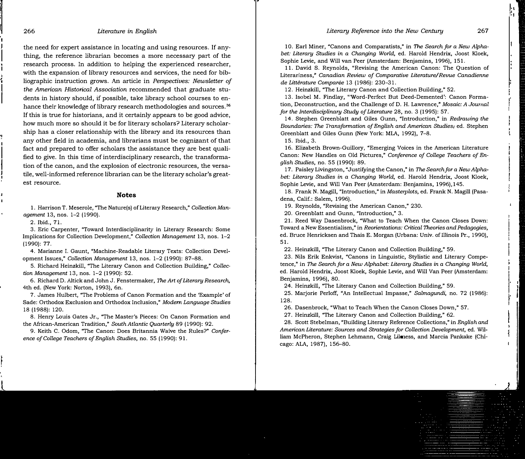#### 266 Literature in English

the need for expert assistance in locating and using resources. If anything, the reference librarian becomes a more necessary part of the research process. In addition to helping the experienced researcher, with the expansion of library resources and services, the need for bibliographic instruction grows. An article in Perspectives: Newsletter of the American Historical Association recommended that graduate students in history should, if possible, take library school courses to enhance their knowledge of library research methodologies and sources.<sup>36</sup> If this is true for historians, and it certainly appears to be good advice, how much more so should it be for literary scholars? Literary scholarship has a closer relationship with the library and its resources than any other field in academia, and librarians must be cognizant of that fact and prepared to offer scholars the assistance they are best qualified to give. In this time of interdisciplinary research, the transformation of the canon, and the explosion of electronic resources, the versatile, well-informed reference librarian can be the literary scholar's greatest resource.

#### Notes

1. Harrison T. Meserole, "The Nature(s) of Literary Research," Collection Management 13, nos. 1-2 (1990).

2. Ibid., 71.

3. Eric Carpenter, 1'Toward Interdisciplinarity in Literary Research: Some Implications for Collection Development," Collection Management 13, nos. 1-2 (1990): 77.

4. Marianne I. Gaunt, "Machine-Readable Literary Texts: Collection Development Issues," Collection Management 13, nos. 1-2 (1990): 87-88.

5. Richard Heinzkill, "The Literary Canon and Collection Building," Collection Management 13, nos. 1-2 (1990): 52.

6. Richard D. Altick and John J. Fenstermaker, The Art of Literary Research, 4th ed. (New York: Norton, 1993), 6n.

7. James Hulbert, "The Problems of Canon Formation and the 'Example' of Sade: Orthodox Exclusion and Orthodox Inclusion," Modem Language Studies 18 (1988): 120.

8. Henry Louis Gates Jr., "The Master's Pieces: On Canon Formation and the African-American Tradition," South Atlantic Quarterly 89 (1990): 92.

9. Keith C. Odom, "The Canon: Does Britannia Waive the Rules?" Conference of College Teachers of English Studies, no. 55 (1990): 91.

10. Earl Miner, "Canons and Comparatists," in The Search for a New Alphabet: Literary Studies in a Changing World, ed. Harold Hendrix, Joost Kloek, Sophie Levie, and Will van Peer (Amsterdam: Benjamins, 1996), 151.

11. David S. Reynolds, "Revising the American Canon: The Question of Literariness," Canadian Review of Comparative Literature/ Revue Canadienne de Littérature Comparée 13 (1986): 230-31.

12. Heinzkill, "The Literary Canon and Collection Building," 52.

13. Isabel M. Findlay, ''Word-Perfect But Deed-Demented': Canon Formation, Deconstruction, and the Challenge of D. H. Lawrence," Mosaic: A Journal for the Interdisciplinary Study of Literature 28, no. 3 (1995): 57.

14. Stephen Greenblatt and Giles Gunn, "Introduction," in Redrawing the Boundaries: The Transformation of English and American Studies; ed. Stephen Greenblatt and Giles Gunn (New York: MLA, 1992), 7-8 .

15. Ibid., 3.

16. Elizabeth Brown-Guillory, "Emerging Voices in the American Literature Canon: New Handles on Old Pictures," Conference of College Teachers of English Studies, no. 55 (1990): 89.

17. Paisley Livingston, "Justifying the Canon," in The Search for a New Alphabet: Literary Studies in a Changing World, ed. Harold Hendrix, Joost Kloek, Sophie Levie, and Will Van Peer (Amsterdam: Benjamins, 1996),145.

18. Frank N. Magill, "Introduction," in Masterplots, ed. Frank N. Magill (Pasadena, Calif.: Saiem, 1996).

19. Reynolds, "Revising the American Canon," 230.

20. Greenblatt and Gunn, "Introduction," 3.

21. Reed Way Dasenbrock, "What to Teach When the Canon Closes Down: Toward a New Essentialism," in Reorientations: Critical Theories and Pedagogies, ed. Bruce Henricksen and Thais E. Morgan (Urbana: Univ. of Illinois Pr., 1990), 51.

22. Heinzkill, "The Literary Canon and Collection Building," 59.

23. Nils Erik Enkvist, "Canons in Linguistic, Stylistic and Literary Competence," in The Search for a New Alphabet: Literary Studies in a Changing World, ed. Harold Hendrix, Joost Kloek, Sophie Levie, and Will Van Peer (Amsterdam: Benjamins, 1996), 80.

24. Heinzkill, "The Literary Canon and Collection Building," 59.

25. Marjorie Perloff, "An Intellectuai Impasse," Salmagundi, no. 72 (1986): 128.

26. Dasenbrock, "What to Teach When the Canon Closes Down," 57.

27. Heinzkill, "The Literary Canon and Collection Building," 62.

28. Scott Stebelman, "Building Literary Reference Collections," in English and American Literature: Sources and Strategies for Collection Development, ed. William McPheron, Stephen Lehmann, Craig Likness, and Marcia Pankake (Chicago: ALA, 1987), 156-80.

.

•• I' i I' f

î